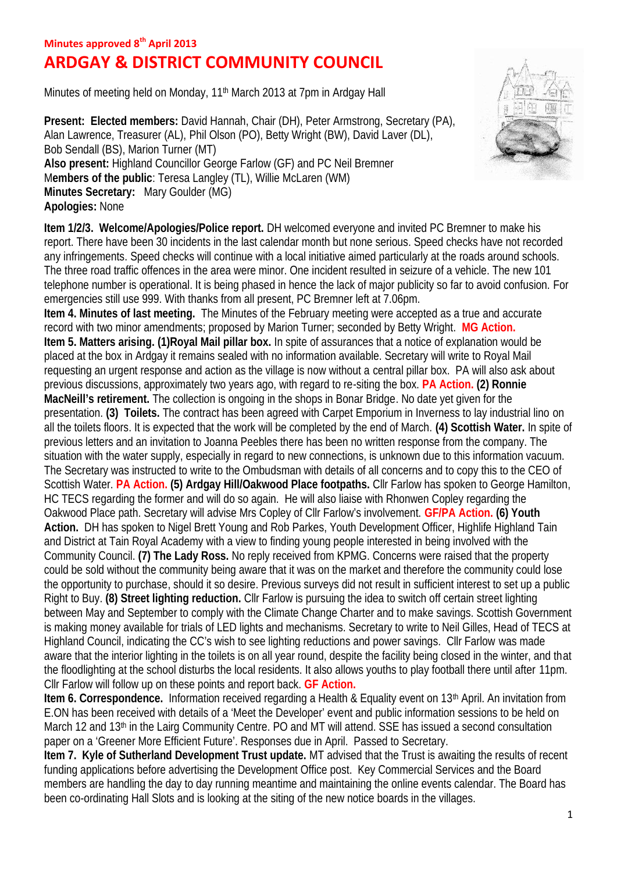## **Minutes approved 8th April 2013**

## **ARDGAY & DISTRICT COMMUNITY COUNCIL**

Minutes of meeting held on Monday, 11<sup>th</sup> March 2013 at 7pm in Ardgay Hall

**Present: Elected members:** David Hannah, Chair (DH), Peter Armstrong, Secretary (PA), Alan Lawrence, Treasurer (AL), Phil Olson (PO), Betty Wright (BW), David Laver (DL), Bob Sendall (BS), Marion Turner (MT) **Also present:** Highland Councillor George Farlow (GF) and PC Neil Bremner M**embers of the public**: Teresa Langley (TL), Willie McLaren (WM) **Minutes Secretary:** Mary Goulder (MG) **Apologies:** None

**Item 1/2/3. Welcome/Apologies/Police report.** DH welcomed everyone and invited PC Bremner to make his report. There have been 30 incidents in the last calendar month but none serious. Speed checks have not recorded any infringements. Speed checks will continue with a local initiative aimed particularly at the roads around schools. The three road traffic offences in the area were minor. One incident resulted in seizure of a vehicle. The new 101 telephone number is operational. It is being phased in hence the lack of major publicity so far to avoid confusion. For emergencies still use 999. With thanks from all present, PC Bremner left at 7.06pm.

**Item 4. Minutes of last meeting.** The Minutes of the February meeting were accepted as a true and accurate record with two minor amendments; proposed by Marion Turner; seconded by Betty Wright. **MG Action. Item 5. Matters arising. (1)Royal Mail pillar box.** In spite of assurances that a notice of explanation would be placed at the box in Ardgay it remains sealed with no information available. Secretary will write to Royal Mail requesting an urgent response and action as the village is now without a central pillar box. PA will also ask about previous discussions, approximately two years ago, with regard to re-siting the box. **PA Action. (2) Ronnie MacNeill's retirement.** The collection is ongoing in the shops in Bonar Bridge. No date yet given for the presentation. **(3) Toilets.** The contract has been agreed with Carpet Emporium in Inverness to lay industrial lino on all the toilets floors. It is expected that the work will be completed by the end of March. **(4) Scottish Water.** In spite of previous letters and an invitation to Joanna Peebles there has been no written response from the company. The situation with the water supply, especially in regard to new connections, is unknown due to this information vacuum. The Secretary was instructed to write to the Ombudsman with details of all concerns and to copy this to the CEO of Scottish Water. **PA Action. (5) Ardgay Hill/Oakwood Place footpaths.** Cllr Farlow has spoken to George Hamilton, HC TECS regarding the former and will do so again. He will also liaise with Rhonwen Copley regarding the Oakwood Place path. Secretary will advise Mrs Copley of Cllr Farlow's involvement. **GF/PA Action. (6) Youth** Action. DH has spoken to Nigel Brett Young and Rob Parkes, Youth Development Officer, Highlife Highland Tain and District at Tain Royal Academy with a view to finding young people interested in being involved with the Community Council. **(7) The Lady Ross.** No reply received from KPMG. Concerns were raised that the property could be sold without the community being aware that it was on the market and therefore the community could lose the opportunity to purchase, should it so desire. Previous surveys did not result in sufficient interest to set up a public Right to Buy. **(8) Street lighting reduction.** Cllr Farlow is pursuing the idea to switch off certain street lighting between May and September to comply with the Climate Change Charter and to make savings. Scottish Government is making money available for trials of LED lights and mechanisms. Secretary to write to Neil Gilles, Head of TECS at Highland Council, indicating the CC's wish to see lighting reductions and power savings. Cllr Farlow was made aware that the interior lighting in the toilets is on all year round, despite the facility being closed in the winter, and that the floodlighting at the school disturbs the local residents. It also allows youths to play football there until after 11pm. Cllr Farlow will follow up on these points and report back. **GF Action.**

**Item 6. Correspondence.** Information received regarding a Health & Equality event on 13th April. An invitation from E.ON has been received with details of a 'Meet the Developer' event and public information sessions to be held on March 12 and 13th in the Lairg Community Centre. PO and MT will attend. SSE has issued a second consultation paper on a 'Greener More Efficient Future'. Responses due in April. Passed to Secretary.

**Item 7. Kyle of Sutherland Development Trust update.** MT advised that the Trust is awaiting the results of recent funding applications before advertising the Development Office post. Key Commercial Services and the Board members are handling the day to day running meantime and maintaining the online events calendar. The Board has been co-ordinating Hall Slots and is looking at the siting of the new notice boards in the villages.

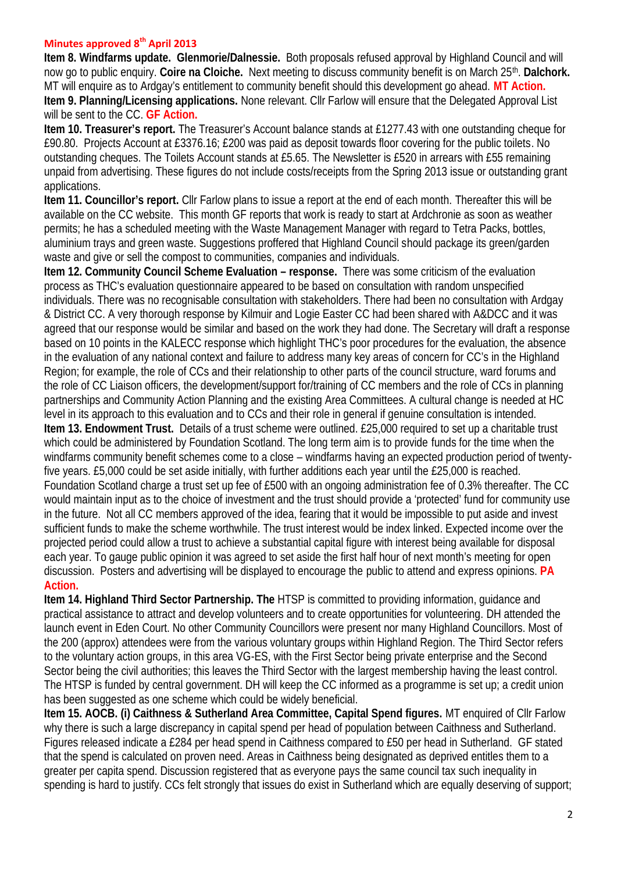## **Minutes approved 8th April 2013**

**Item 8. Windfarms update. Glenmorie/Dalnessie.** Both proposals refused approval by Highland Council and will now go to public enquiry. **Coire na Cloiche.** Next meeting to discuss community benefit is on March 25th . **Dalchork.** MT will enquire as to Ardgay's entitlement to community benefit should this development go ahead. **MT Action. Item 9. Planning/Licensing applications.** None relevant. Cllr Farlow will ensure that the Delegated Approval List will be sent to the CC. **GF Action.**

**Item 10. Treasurer's report.** The Treasurer's Account balance stands at £1277.43 with one outstanding cheque for £90.80. Projects Account at £3376.16; £200 was paid as deposit towards floor covering for the public toilets. No outstanding cheques. The Toilets Account stands at £5.65. The Newsletter is £520 in arrears with £55 remaining unpaid from advertising. These figures do not include costs/receipts from the Spring 2013 issue or outstanding grant applications.

**Item 11. Councillor's report.** Cllr Farlow plans to issue a report at the end of each month. Thereafter this will be available on the CC website. This month GF reports that work is ready to start at Ardchronie as soon as weather permits; he has a scheduled meeting with the Waste Management Manager with regard to Tetra Packs, bottles, aluminium trays and green waste. Suggestions proffered that Highland Council should package its green/garden waste and give or sell the compost to communities, companies and individuals.

**Item 12. Community Council Scheme Evaluation – response.** There was some criticism of the evaluation process as THC's evaluation questionnaire appeared to be based on consultation with random unspecified individuals. There was no recognisable consultation with stakeholders. There had been no consultation with Ardgay & District CC. A very thorough response by Kilmuir and Logie Easter CC had been shared with A&DCC and it was agreed that our response would be similar and based on the work they had done. The Secretary will draft a response based on 10 points in the KALECC response which highlight THC's poor procedures for the evaluation, the absence in the evaluation of any national context and failure to address many key areas of concern for CC's in the Highland Region; for example, the role of CCs and their relationship to other parts of the council structure, ward forums and the role of CC Liaison officers, the development/support for/training of CC members and the role of CCs in planning partnerships and Community Action Planning and the existing Area Committees. A cultural change is needed at HC level in its approach to this evaluation and to CCs and their role in general if genuine consultation is intended. **Item 13. Endowment Trust.** Details of a trust scheme were outlined. £25,000 required to set up a charitable trust which could be administered by Foundation Scotland. The long term aim is to provide funds for the time when the windfarms community benefit schemes come to a close – windfarms having an expected production period of twentyfive years. £5,000 could be set aside initially, with further additions each year until the £25,000 is reached. Foundation Scotland charge a trust set up fee of £500 with an ongoing administration fee of 0.3% thereafter. The CC would maintain input as to the choice of investment and the trust should provide a 'protected' fund for community use in the future. Not all CC members approved of the idea, fearing that it would be impossible to put aside and invest sufficient funds to make the scheme worthwhile. The trust interest would be index linked. Expected income over the projected period could allow a trust to achieve a substantial capital figure with interest being available for disposal each year. To gauge public opinion it was agreed to set aside the first half hour of next month's meeting for open discussion. Posters and advertising will be displayed to encourage the public to attend and express opinions. **PA Action.**

**Item 14. Highland Third Sector Partnership. The** HTSP is committed to providing information, guidance and practical assistance to attract and develop volunteers and to create opportunities for volunteering. DH attended the launch event in Eden Court. No other Community Councillors were present nor many Highland Councillors. Most of the 200 (approx) attendees were from the various voluntary groups within Highland Region. The Third Sector refers to the voluntary action groups, in this area VG-ES, with the First Sector being private enterprise and the Second Sector being the civil authorities; this leaves the Third Sector with the largest membership having the least control. The HTSP is funded by central government. DH will keep the CC informed as a programme is set up; a credit union has been suggested as one scheme which could be widely beneficial.

**Item 15. AOCB. (i) Caithness & Sutherland Area Committee, Capital Spend figures.** MT enquired of Cllr Farlow why there is such a large discrepancy in capital spend per head of population between Caithness and Sutherland. Figures released indicate a £284 per head spend in Caithness compared to £50 per head in Sutherland. GF stated that the spend is calculated on proven need. Areas in Caithness being designated as deprived entitles them to a greater per capita spend. Discussion registered that as everyone pays the same council tax such inequality in spending is hard to justify. CCs felt strongly that issues do exist in Sutherland which are equally deserving of support;